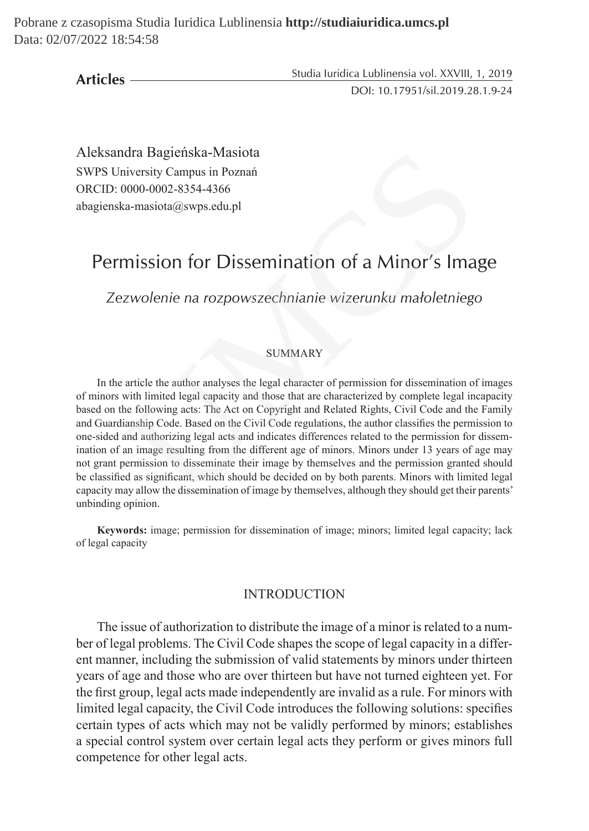**Articles**

Studia Iuridica Lublinensia vol. XXVIII, 1, 2019 DOI: 10.17951/sil.2019.28.1.9-24

Aleksandra Bagieńska-Masiota SWPS University Campus in Poznań ORCID: 0000-0002-8354-4366 abagienska-masiota@swps.edu.pl

# Permission for Dissemination of a Minor's Image

*Zezwolenie na rozpowszechnianie wizerunku małoletniego*

## SUMMARY

In the article the author analyses the legal character of permission for dissemination of images of minors with limited legal capacity and those that are characterized by complete legal incapacity based on the following acts: The Act on Copyright and Related Rights, Civil Code and the Family and Guardianship Code. Based on the Civil Code regulations, the author classifies the permission to one-sided and authorizing legal acts and indicates differences related to the permission for dissemination of an image resulting from the different age of minors. Minors under 13 years of age may not grant permission to disseminate their image by themselves and the permission granted should be classified as significant, which should be decided on by both parents. Minors with limited legal capacity may allow the dissemination of image by themselves, although they should get their parents' unbinding opinion. dra Bagteńska-Masiota<br>
niversity Campus in Poznań<br>
0000-0002-8354-4366<br>
ca-masiota@swps.edu.pl<br>
mission for Dissemination of a Minor's Ima<br>
zwolenie na rozpowszechnianie wizerunku małoletniege<br>
sumMARY<br>
atticle the author

**Keywords:** image; permission for dissemination of image; minors; limited legal capacity; lack of legal capacity

#### INTRODUCTION

The issue of authorization to distribute the image of a minor is related to a number of legal problems. The Civil Code shapes the scope of legal capacity in a different manner, including the submission of valid statements by minors under thirteen years of age and those who are over thirteen but have not turned eighteen yet. For the first group, legal acts made independently are invalid as a rule. For minors with limited legal capacity, the Civil Code introduces the following solutions: specifies certain types of acts which may not be validly performed by minors; establishes a special control system over certain legal acts they perform or gives minors full competence for other legal acts.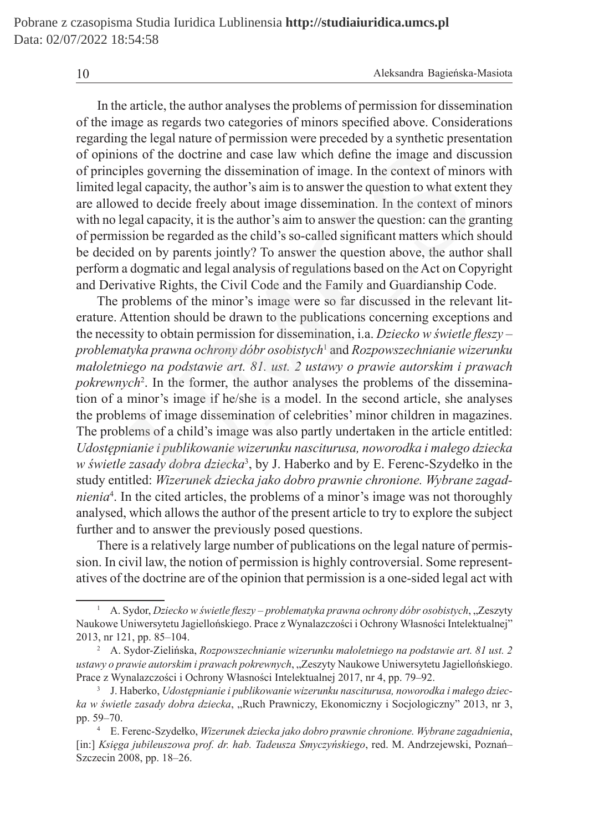In the article, the author analyses the problems of permission for dissemination of the image as regards two categories of minors specified above. Considerations regarding the legal nature of permission were preceded by a synthetic presentation of opinions of the doctrine and case law which define the image and discussion of principles governing the dissemination of image. In the context of minors with limited legal capacity, the author's aim is to answer the question to what extent they are allowed to decide freely about image dissemination. In the context of minors with no legal capacity, it is the author's aim to answer the question: can the granting of permission be regarded as the child's so-called significant matters which should be decided on by parents jointly? To answer the question above, the author shall perform a dogmatic and legal analysis of regulations based on the Act on Copyright and Derivative Rights, the Civil Code and the Family and Guardianship Code.

The problems of the minor's image were so far discussed in the relevant literature. Attention should be drawn to the publications concerning exceptions and the necessity to obtain permission for dissemination, i.a. *Dziecko w świetle fleszy* – *problematyka prawna ochrony dóbr osobistych*<sup>1</sup> and *Rozpowszechnianie wizerunku małoletniego na podstawie art. 81. ust. 2 ustawy o prawie autorskim i prawach pokrewnych*<sup>2</sup> . In the former, the author analyses the problems of the dissemination of a minor's image if he/she is a model. In the second article, she analyses the problems of image dissemination of celebrities' minor children in magazines. The problems of a child's image was also partly undertaken in the article entitled: *Udostępnianie i publikowanie wizerunku nasciturusa, noworodka i małego dziecka w świetle zasady dobra dziecka*<sup>3</sup> , by J. Haberko and by E. Ferenc-Szydełko in the study entitled: *Wizerunek dziecka jako dobro prawnie chronione. Wybrane zagadnienia*<sup>4</sup> . In the cited articles, the problems of a minor's image was not thoroughly analysed, which allows the author of the present article to try to explore the subject further and to answer the previously posed questions. ons of the doctrine and case law which define the image and disc<br>ples governing the dissemination of image. In the context of mino<br>egal capacity, the author's aim is to answer the question to what exte<br>ed to decide freely

There is a relatively large number of publications on the legal nature of permission. In civil law, the notion of permission is highly controversial. Some representatives of the doctrine are of the opinion that permission is a one-sided legal act with

<sup>1</sup> A. Sydor, *Dziecko w świetle fleszy – problematyka prawna ochrony dóbr osobistych*, "Zeszyty Naukowe Uniwersytetu Jagiellońskiego. Prace z Wynalazczości i Ochrony Własności Intelektualnej" 2013, nr 121, pp. 85–104.

<sup>2</sup> A. Sydor-Zielińska, *Rozpowszechnianie wizerunku małoletniego na podstawie art. 81 ust. 2 ustawy o prawie autorskim i prawach pokrewnych*, "Zeszyty Naukowe Uniwersytetu Jagiellońskiego. Prace z Wynalazczości i Ochrony Własności Intelektualnej 2017, nr 4, pp. 79–92.

<sup>3</sup> J. Haberko, *Udostępnianie i publikowanie wizerunku nasciturusa, noworodka i małego dziecka w świetle zasady dobra dziecka*, "Ruch Prawniczy, Ekonomiczny i Socjologiczny" 2013, nr 3, pp. 59–70.

<sup>4</sup> E. Ferenc-Szydełko, *Wizerunek dziecka jako dobro prawnie chronione. Wybrane zagadnienia*, [in:] *Księga jubileuszowa prof. dr. hab. Tadeusza Smyczyńskiego*, red. M. Andrzejewski, Poznań– Szczecin 2008, pp. 18–26.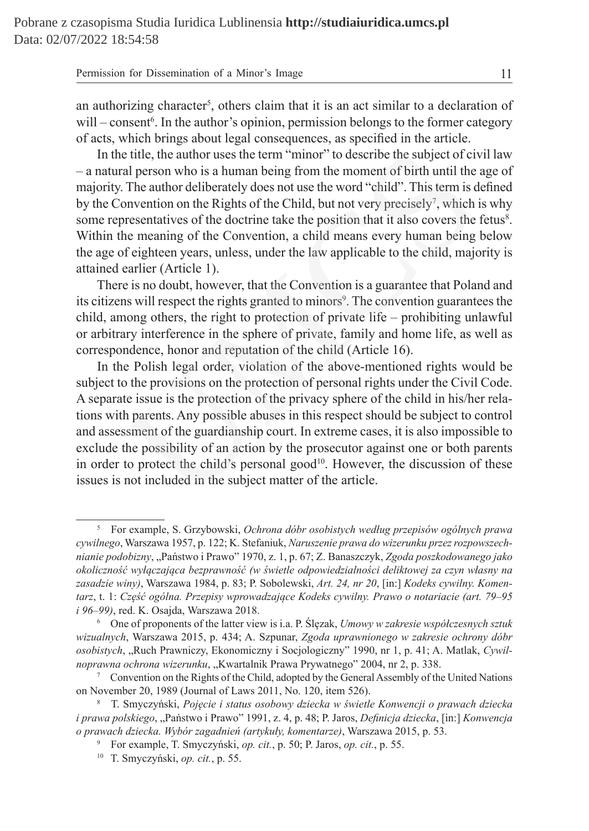#### Permission for Dissemination of a Minor's Image 11

an authorizing character<sup>5</sup>, others claim that it is an act similar to a declaration of will – consent<sup>6</sup>. In the author's opinion, permission belongs to the former category of acts, which brings about legal consequences, as specified in the article.

In the title, the author uses the term "minor" to describe the subject of civil law – a natural person who is a human being from the moment of birth until the age of majority. The author deliberately does not use the word "child". This term is defined by the Convention on the Rights of the Child, but not very precisely<sup>7</sup>, which is why some representatives of the doctrine take the position that it also covers the fetus<sup>8</sup>. Within the meaning of the Convention, a child means every human being below the age of eighteen years, unless, under the law applicable to the child, majority is attained earlier (Article 1).

There is no doubt, however, that the Convention is a guarantee that Poland and its citizens will respect the rights granted to minors<sup>9</sup>. The convention guarantees the child, among others, the right to protection of private life – prohibiting unlawful or arbitrary interference in the sphere of private, family and home life, as well as correspondence, honor and reputation of the child (Article 16).

In the Polish legal order, violation of the above-mentioned rights would be subject to the provisions on the protection of personal rights under the Civil Code. A separate issue is the protection of the privacy sphere of the child in his/her relations with parents. Any possible abuses in this respect should be subject to control and assessment of the guardianship court. In extreme cases, it is also impossible to exclude the possibility of an action by the prosecutor against one or both parents in order to protect the child's personal good<sup>10</sup>. However, the discussion of these issues is not included in the subject matter of the article. e title, the author uses the term "minor" to describe the subject of ci<br>al person who is a human being from the moment of birth until the<br>The author deliberately does not use the word "child". This term is convention on th

<sup>5</sup> For example, S. Grzybowski, *Ochrona dóbr osobistych według przepisów ogólnych prawa cywilnego*, Warszawa 1957, p. 122; K. Stefaniuk, *Naruszenie prawa do wizerunku przez rozpowszechnianie podobizny*, "Państwo i Prawo" 1970, z. 1, p. 67; Z. Banaszczyk, *Zgoda poszkodowanego jako okoliczność wyłączająca bezprawność (w świetle odpowiedzialności deliktowej za czyn własny na zasadzie winy)*, Warszawa 1984, p. 83; P. Sobolewski, *Art. 24, nr 20*, [in:] *Kodeks cywilny. Komentarz*, t. 1: *Część ogólna. Przepisy wprowadzające Kodeks cywilny. Prawo o notariacie (art. 79–95 i 96–99)*, red. K. Osajda, Warszawa 2018.

<sup>6</sup> One of proponents of the latter view is i.a. P. Ślęzak, *Umowy w zakresie współczesnych sztuk wizualnych*, Warszawa 2015, p. 434; A. Szpunar, *Zgoda uprawnionego w zakresie ochrony dóbr osobistych*, "Ruch Prawniczy, Ekonomiczny i Socjologiczny" 1990, nr 1, p. 41; A. Matlak, *Cywilnoprawna ochrona wizerunku*, "Kwartalnik Prawa Prywatnego" 2004, nr 2, p. 338.<br><sup>7</sup> Convention on the Rights of the Child, adopted by the General Assembly of the United Nations

on November 20, 1989 (Journal of Laws 2011, No. 120, item 526).

<sup>8</sup> T. Smyczyński, *Pojęcie i status osobowy dziecka w świetle Konwencji o prawach dziecka i prawa polskiego*, "Państwo i Prawo" 1991, z. 4, p. 48; P. Jaros, *Definicja dziecka*, [in:] *Konwencja o prawach dziecka. Wybór zagadnień (artykuły, komentarze)*, Warszawa 2015, p. 53.

<sup>9</sup> For example, T. Smyczyński, *op. cit.*, p. 50; P. Jaros, *op. cit.*, p. 55.

<sup>10</sup> T. Smyczyński, *op. cit.*, p. 55.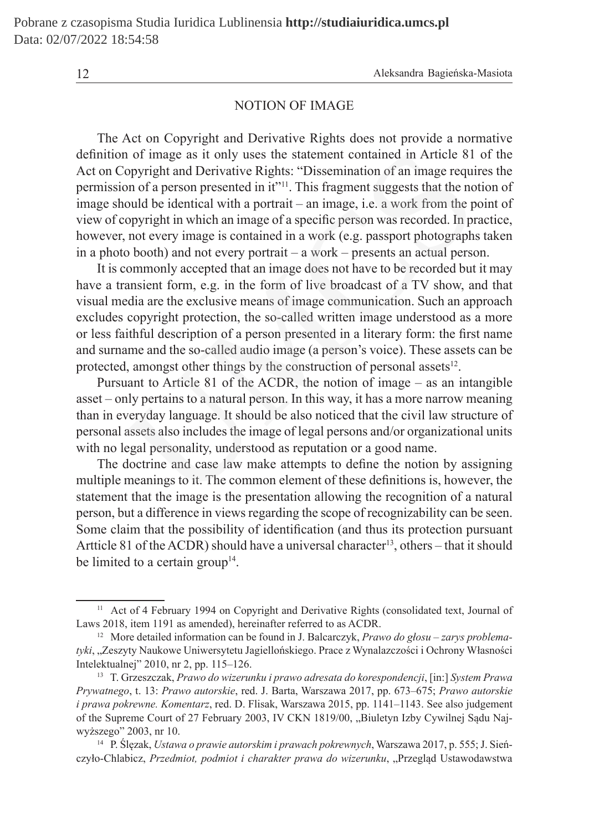#### NOTION OF IMAGE

The Act on Copyright and Derivative Rights does not provide a normative definition of image as it only uses the statement contained in Article 81 of the Act on Copyright and Derivative Rights: "Dissemination of an image requires the permission of a person presented in it"<sup>11</sup>. This fragment suggests that the notion of image should be identical with a portrait – an image, i.e. a work from the point of view of copyright in which an image of a specific person was recorded. In practice, however, not every image is contained in a work (e.g. passport photographs taken in a photo booth) and not every portrait – a work – presents an actual person. n of image as it only uses the statement contained in Article 81<br>
Sopyright and Derivative Rights: "Dissemination of an image requi<br>
on of a person presented in it"<sup>11</sup>. This fragment suggests that the no<br>
colould be ident

It is commonly accepted that an image does not have to be recorded but it may have a transient form, e.g. in the form of live broadcast of a TV show, and that visual media are the exclusive means of image communication. Such an approach excludes copyright protection, the so-called written image understood as a more or less faithful description of a person presented in a literary form: the first name and surname and the so-called audio image (a person's voice). These assets can be protected, amongst other things by the construction of personal assets $12$ .

Pursuant to Article 81 of the ACDR, the notion of image – as an intangible asset – only pertains to a natural person. In this way, it has a more narrow meaning than in everyday language. It should be also noticed that the civil law structure of personal assets also includes the image of legal persons and/or organizational units with no legal personality, understood as reputation or a good name.

The doctrine and case law make attempts to define the notion by assigning multiple meanings to it. The common element of these definitions is, however, the statement that the image is the presentation allowing the recognition of a natural person, but a difference in views regarding the scope of recognizability can be seen. Some claim that the possibility of identification (and thus its protection pursuant Artticle 81 of the ACDR) should have a universal character<sup>13</sup>, others – that it should be limited to a certain group<sup>14</sup>.

<sup>&</sup>lt;sup>11</sup> Act of 4 February 1994 on Copyright and Derivative Rights (consolidated text, Journal of Laws 2018, item 1191 as amended), hereinafter referred to as ACDR.

<sup>12</sup> More detailed information can be found in J. Balcarczyk, *Prawo do głosu – zarys problematyki*, "Zeszyty Naukowe Uniwersytetu Jagiellońskiego. Prace z Wynalazczości i Ochrony Własności Intelektualnej" 2010, nr 2, pp. 115–126.

<sup>13</sup> T. Grzeszczak, *Prawo do wizerunku i prawo adresata do korespondencji*, [in:] *System Prawa Prywatnego*, t. 13: *Prawo autorskie*, red. J. Barta, Warszawa 2017, pp. 673–675; *Prawo autorskie i prawa pokrewne. Komentarz*, red. D. Flisak, Warszawa 2015, pp. 1141–1143. See also judgement of the Supreme Court of 27 February 2003, IV CKN 1819/00, "Biuletyn Izby Cywilnej Sądu Najwyższego" 2003, nr 10.

<sup>14</sup> P. Ślęzak, *Ustawa o prawie autorskim i prawach pokrewnych*, Warszawa 2017, p. 555; J. Sieńczyło-Chlabicz, *Przedmiot, podmiot i charakter prawa do wizerunku*, "Przegląd Ustawodawstwa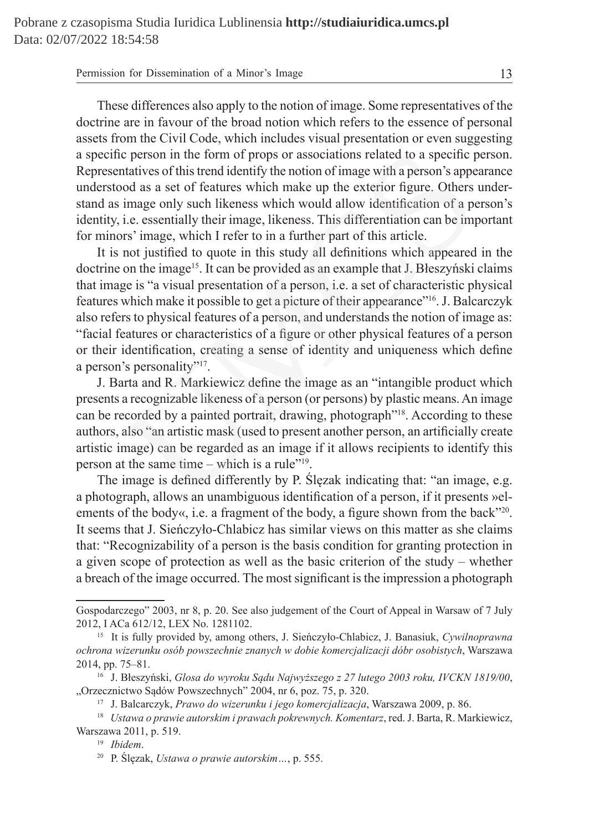| Permission for Dissemination of a Minor's Image |  |
|-------------------------------------------------|--|
|-------------------------------------------------|--|

These differences also apply to the notion of image. Some representatives of the doctrine are in favour of the broad notion which refers to the essence of personal assets from the Civil Code, which includes visual presentation or even suggesting a specific person in the form of props or associations related to a specific person. Representatives of this trend identify the notion of image with a person's appearance understood as a set of features which make up the exterior figure. Others understand as image only such likeness which would allow identification of a person's identity, i.e. essentially their image, likeness. This differentiation can be important for minors' image, which I refer to in a further part of this article.

It is not justified to quote in this study all definitions which appeared in the doctrine on the image<sup>15</sup>. It can be provided as an example that J. Błeszyński claims that image is "a visual presentation of a person, i.e. a set of characteristic physical features which make it possible to get a picture of their appearance"16. J. Balcarczyk also refers to physical features of a person, and understands the notion of image as: "facial features or characteristics of a figure or other physical features of a person or their identification, creating a sense of identity and uniqueness which define a person's personality"17. c person in the form of props or associations related to a specific protatives of this trend identify the notion of image with a person's appear od as a set of features which make up the exterior figure. Others image only

J. Barta and R. Markiewicz define the image as an "intangible product which presents a recognizable likeness of a person (or persons) by plastic means. An image can be recorded by a painted portrait, drawing, photograph"18. According to these authors, also "an artistic mask (used to present another person, an artificially create artistic image) can be regarded as an image if it allows recipients to identify this person at the same time – which is a rule"19.

The image is defined differently by P. Ślęzak indicating that: "an image, e.g. a photograph, allows an unambiguous identification of a person, if it presents »elements of the body«, i.e. a fragment of the body, a figure shown from the back"<sup>20</sup>. It seems that J. Sieńczyło-Chlabicz has similar views on this matter as she claims that: "Recognizability of a person is the basis condition for granting protection in a given scope of protection as well as the basic criterion of the study – whether a breach of the image occurred. The most significant is the impression a photograph

Gospodarczego" 2003, nr 8, p. 20. See also judgement of the Court of Appeal in Warsaw of 7 July 2012, I ACa 612/12, LEX No. 1281102.

<sup>15</sup> It is fully provided by, among others, J. Sieńczyło-Chlabicz, J. Banasiuk, *Cywilnoprawna ochrona wizerunku osób powszechnie znanych w dobie komercjalizacji dóbr osobistych*, Warszawa 2014, pp. 75–81.

<sup>16</sup> J. Błeszyński, *Glosa do wyroku Sądu Najwyższego z 27 lutego 2003 roku, IVCKN 1819/00*, "Orzecznictwo Sądów Powszechnych" 2004, nr 6, poz. 75, p. 320.

<sup>17</sup> J. Balcarczyk, *Prawo do wizerunku i jego komercjalizacja*, Warszawa 2009, p. 86.

<sup>18</sup> *Ustawa o prawie autorskim i prawach pokrewnych. Komentarz*, red. J. Barta, R. Markiewicz, Warszawa 2011, p. 519.

<sup>19</sup> *Ibidem*.

<sup>20</sup> P. Ślęzak, *Ustawa o prawie autorskim…*, p. 555.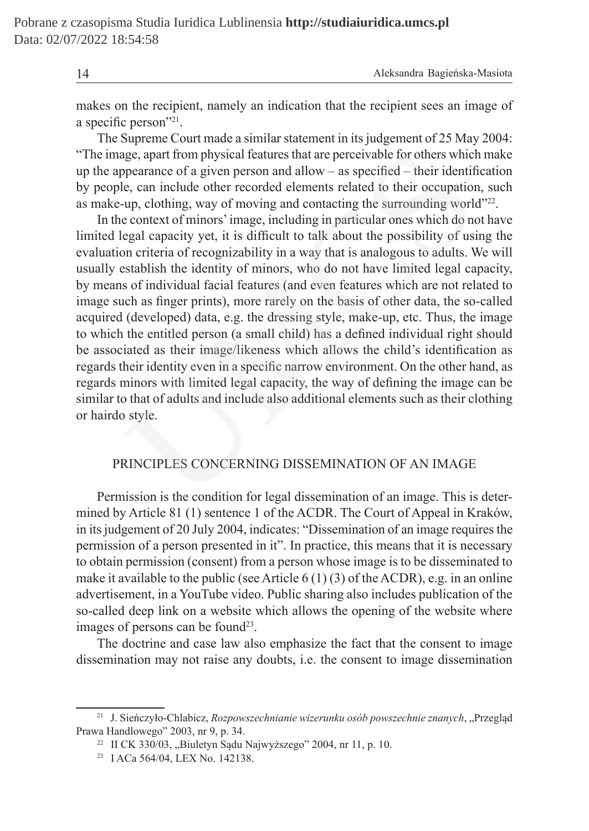14 Aleksandra Bagieńska-Masiota

makes on the recipient, namely an indication that the recipient sees an image of a specific person"21.

The Supreme Court made a similar statement in its judgement of 25 May 2004: "The image, apart from physical features that are perceivable for others which make up the appearance of a given person and allow – as specified – their identification by people, can include other recorded elements related to their occupation, such as make-up, clothing, way of moving and contacting the surrounding world"22.

In the context of minors' image, including in particular ones which do not have limited legal capacity yet, it is difficult to talk about the possibility of using the evaluation criteria of recognizability in a way that is analogous to adults. We will usually establish the identity of minors, who do not have limited legal capacity, by means of individual facial features (and even features which are not related to image such as finger prints), more rarely on the basis of other data, the so-called acquired (developed) data, e.g. the dressing style, make-up, etc. Thus, the image to which the entitled person (a small child) has a defined individual right should be associated as their image/likeness which allows the child's identification as regards their identity even in a specific narrow environment. On the other hand, as regards minors with limited legal capacity, the way of defining the image can be similar to that of adults and include also additional elements such as their clothing or hairdo style. age, apart from physical features that are perceivable for others which<br>pearance of a given person and allow – as specified – their identif<br>e, can include other recorded elements related to their occupatior<br>up, olothing, w

## PRINCIPLES CONCERNING DISSEMINATION OF AN IMAGE

Permission is the condition for legal dissemination of an image. This is determined by Article 81 (1) sentence 1 of the ACDR. The Court of Appeal in Kraków, in its judgement of 20 July 2004, indicates: "Dissemination of an image requires the permission of a person presented in it". In practice, this means that it is necessary to obtain permission (consent) from a person whose image is to be disseminated to make it available to the public (see Article 6 (1) (3) of the ACDR), e.g. in an online advertisement, in a YouTube video. Public sharing also includes publication of the so-called deep link on a website which allows the opening of the website where images of persons can be found<sup>23</sup>.

The doctrine and case law also emphasize the fact that the consent to image dissemination may not raise any doubts, i.e. the consent to image dissemination

<sup>&</sup>lt;sup>21</sup> J. Sieńczyło-Chlabicz, *Rozpowszechnianie wizerunku osób powszechnie znanych*, "Przegląd Prawa Handlowego" 2003, nr 9, p. 34.

<sup>&</sup>lt;sup>22</sup> II CK 330/03, "Biuletyn Sądu Najwyższego" 2004, nr 11, p. 10.

<sup>23</sup> I ACa 564/04, LEX No. 142138.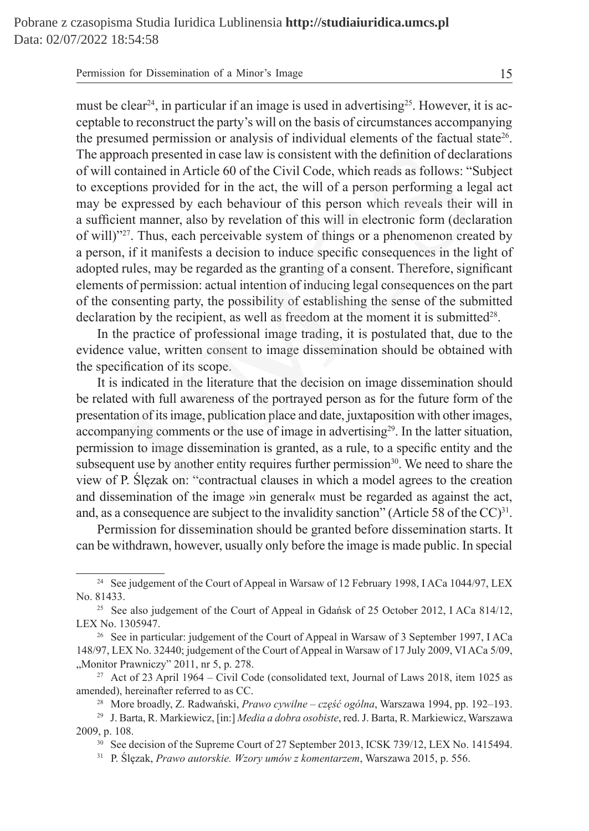| Permission for Dissemination of a Minor's Image |  |
|-------------------------------------------------|--|
|-------------------------------------------------|--|

must be clear<sup>24</sup>, in particular if an image is used in advertising<sup>25</sup>. However, it is acceptable to reconstruct the party's will on the basis of circumstances accompanying the presumed permission or analysis of individual elements of the factual state<sup>26</sup>. The approach presented in case law is consistent with the definition of declarations of will contained in Article 60 of the Civil Code, which reads as follows: "Subject to exceptions provided for in the act, the will of a person performing a legal act may be expressed by each behaviour of this person which reveals their will in a sufficient manner, also by revelation of this will in electronic form (declaration of will)"27. Thus, each perceivable system of things or a phenomenon created by a person, if it manifests a decision to induce specific consequences in the light of adopted rules, may be regarded as the granting of a consent. Therefore, significant elements of permission: actual intention of inducing legal consequences on the part of the consenting party, the possibility of establishing the sense of the submitted declaration by the recipient, as well as freedom at the moment it is submitted<sup>28</sup>. oach presented in case law is consistent with the definition of declaration of nections provided for in the act, the will of a person performing a le tions provided for in the act, the will of a person performing a le exp

In the practice of professional image trading, it is postulated that, due to the evidence value, written consent to image dissemination should be obtained with the specification of its scope.

It is indicated in the literature that the decision on image dissemination should be related with full awareness of the portrayed person as for the future form of the presentation of its image, publication place and date, juxtaposition with other images, accompanying comments or the use of image in advertising<sup>29</sup>. In the latter situation, permission to image dissemination is granted, as a rule, to a specific entity and the subsequent use by another entity requires further permission<sup>30</sup>. We need to share the view of P. Ślęzak on: "contractual clauses in which a model agrees to the creation and dissemination of the image »in general« must be regarded as against the act, and, as a consequence are subject to the invalidity sanction" (Article 58 of the  $CC$ )<sup>31</sup>.

Permission for dissemination should be granted before dissemination starts. It can be withdrawn, however, usually only before the image is made public. In special

<sup>&</sup>lt;sup>24</sup> See judgement of the Court of Appeal in Warsaw of 12 February 1998, I ACa 1044/97, LEX No. 81433.

<sup>&</sup>lt;sup>25</sup> See also judgement of the Court of Appeal in Gdańsk of 25 October 2012, I ACa 814/12, LEX No. 1305947.

<sup>&</sup>lt;sup>26</sup> See in particular: judgement of the Court of Appeal in Warsaw of 3 September 1997, I ACa 148/97, LEX No. 32440; judgement of the Court of Appeal in Warsaw of 17 July 2009, VI ACa 5/09, "Monitor Prawniczy" 2011, nr 5, p. 278.

<sup>&</sup>lt;sup>27</sup> Act of 23 April 1964 – Civil Code (consolidated text, Journal of Laws 2018, item 1025 as amended), hereinafter referred to as CC.

<sup>28</sup> More broadly, Z. Radwański, *Prawo cywilne – część ogólna*, Warszawa 1994, pp. 192–193.

<sup>29</sup> J. Barta, R. Markiewicz, [in:] *Media a dobra osobiste*, red. J. Barta, R. Markiewicz, Warszawa 2009, p. 108.

<sup>&</sup>lt;sup>30</sup> See decision of the Supreme Court of 27 September 2013, ICSK 739/12, LEX No. 1415494.

<sup>31</sup> P. Ślęzak, *Prawo autorskie. Wzory umów z komentarzem*, Warszawa 2015, p. 556.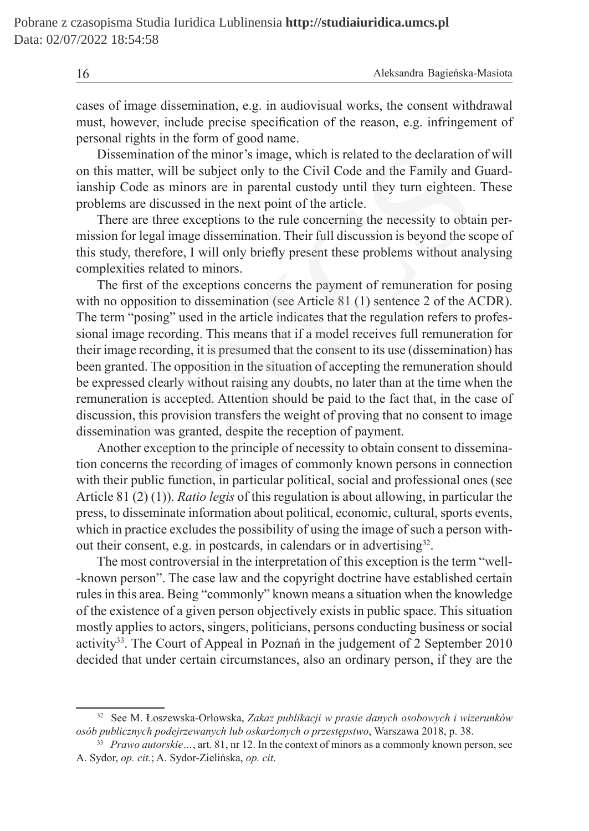| 16 | Aleksandra Bagieńska-Masiota |
|----|------------------------------|
|    |                              |

cases of image dissemination, e.g. in audiovisual works, the consent withdrawal must, however, include precise specification of the reason, e.g. infringement of personal rights in the form of good name.

Dissemination of the minor's image, which is related to the declaration of will on this matter, will be subject only to the Civil Code and the Family and Guardianship Code as minors are in parental custody until they turn eighteen. These problems are discussed in the next point of the article.

There are three exceptions to the rule concerning the necessity to obtain permission for legal image dissemination. Their full discussion is beyond the scope of this study, therefore, I will only briefly present these problems without analysing complexities related to minors.

The first of the exceptions concerns the payment of remuneration for posing with no opposition to dissemination (see Article 81 (1) sentence 2 of the ACDR). The term "posing" used in the article indicates that the regulation refers to professional image recording. This means that if a model receives full remuneration for their image recording, it is presumed that the consent to its use (dissemination) has been granted. The opposition in the situation of accepting the remuneration should be expressed clearly without raising any doubts, no later than at the time when the remuneration is accepted. Attention should be paid to the fact that, in the case of discussion, this provision transfers the weight of proving that no consent to image dissemination was granted, despite the reception of payment. emination of the minor's image, which is related to the declaration<br>anter, will be subject only to the Civil Code and the Family and Code as minors are in parental custody until they turn eighteen.<br>So are discussed in the

Another exception to the principle of necessity to obtain consent to dissemination concerns the recording of images of commonly known persons in connection with their public function, in particular political, social and professional ones (see Article 81 (2) (1)). *Ratio legis* of this regulation is about allowing, in particular the press, to disseminate information about political, economic, cultural, sports events, which in practice excludes the possibility of using the image of such a person without their consent, e.g. in postcards, in calendars or in advertising<sup>32</sup>.

The most controversial in the interpretation of this exception is the term "well- -known person". The case law and the copyright doctrine have established certain rules in this area. Being "commonly" known means a situation when the knowledge of the existence of a given person objectively exists in public space. This situation mostly applies to actors, singers, politicians, persons conducting business or social activity33. The Court of Appeal in Poznań in the judgement of 2 September 2010 decided that under certain circumstances, also an ordinary person, if they are the

<sup>32</sup> See M. Łoszewska-Orłowska, *Zakaz publikacji w prasie danych osobowych i wizerunków osób publicznych podejrzewanych lub oskarżonych o przestępstwo*, Warszawa 2018, p. 38.

<sup>33</sup> *Prawo autorskie…*, art. 81, nr 12. In the context of minors as a commonly known person, see A. Sydor, *op. cit.*; A. Sydor-Zielińska, *op. cit*.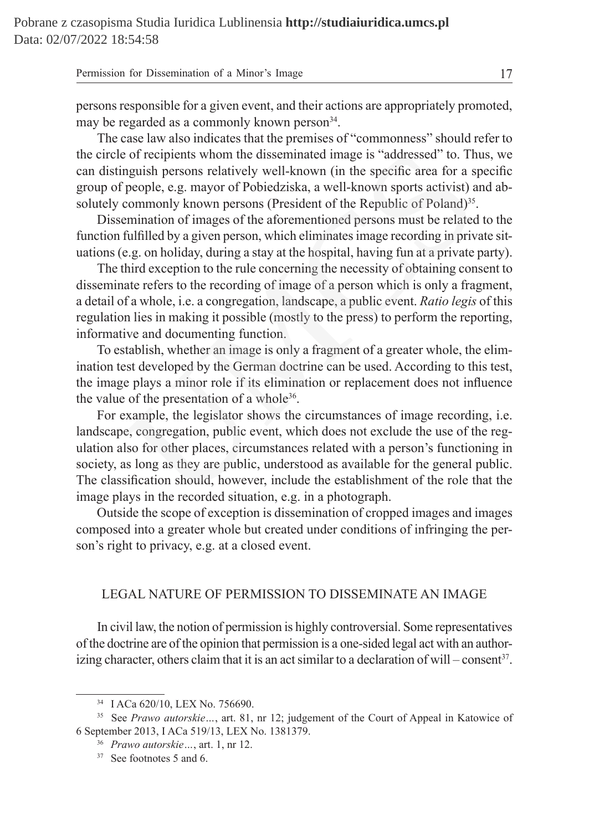| Permission for Dissemination of a Minor's Image |  |
|-------------------------------------------------|--|
|-------------------------------------------------|--|

persons responsible for a given event, and their actions are appropriately promoted, may be regarded as a commonly known person<sup>34</sup>.

The case law also indicates that the premises of "commonness" should refer to the circle of recipients whom the disseminated image is "addressed" to. Thus, we can distinguish persons relatively well-known (in the specific area for a specific group of people, e.g. mayor of Pobiedziska, a well-known sports activist) and absolutely commonly known persons (President of the Republic of Poland)<sup>35</sup>.

Dissemination of images of the aforementioned persons must be related to the function fulfilled by a given person, which eliminates image recording in private situations (e.g. on holiday, during a stay at the hospital, having fun at a private party).

The third exception to the rule concerning the necessity of obtaining consent to disseminate refers to the recording of image of a person which is only a fragment, a detail of a whole, i.e. a congregation, landscape, a public event. *Ratio legis* of this regulation lies in making it possible (mostly to the press) to perform the reporting, informative and documenting function.

To establish, whether an image is only a fragment of a greater whole, the elimination test developed by the German doctrine can be used. According to this test, the image plays a minor role if its elimination or replacement does not influence the value of the presentation of a whole<sup>36</sup>.

For example, the legislator shows the circumstances of image recording, i.e. landscape, congregation, public event, which does not exclude the use of the regulation also for other places, circumstances related with a person's functioning in society, as long as they are public, understood as available for the general public. The classification should, however, include the establishment of the role that the image plays in the recorded situation, e.g. in a photograph. e of recipients whom the disseminated image is "addressed" to. Th<br>nguish persons relatively well-known (in the specific area for a s<br>people, e.g. mayor of Pobiedziska, a well-known sports activist) a<br>commonly known persons

Outside the scope of exception is dissemination of cropped images and images composed into a greater whole but created under conditions of infringing the person's right to privacy, e.g. at a closed event.

### LEGAL NATURE OF PERMISSION TO DISSEMINATE AN IMAGE

In civil law, the notion of permission is highly controversial. Some representatives of the doctrine are of the opinion that permission is a one-sided legal act with an authorizing character, others claim that it is an act similar to a declaration of will – consent<sup>37</sup>.

<sup>34</sup> I ACa 620/10, LEX No. 756690.

<sup>35</sup> See *Prawo autorskie…*, art. 81, nr 12; judgement of the Court of Appeal in Katowice of 6 September 2013, I ACa 519/13, LEX No. 1381379.

<sup>36</sup> *Prawo autorskie…*, art. 1, nr 12.

<sup>&</sup>lt;sup>37</sup> See footnotes 5 and 6.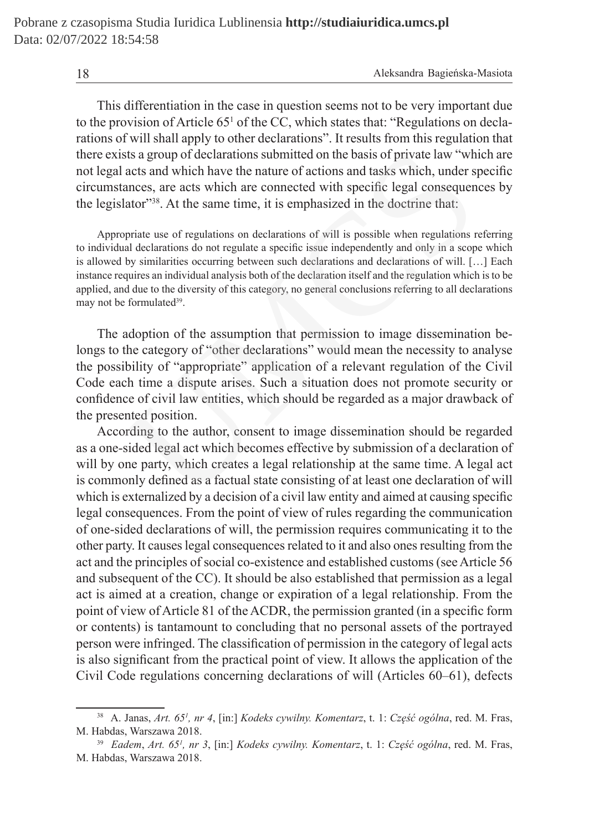This differentiation in the case in question seems not to be very important due to the provision of Article 65<sup>1</sup> of the CC, which states that: "Regulations on declarations of will shall apply to other declarations". It results from this regulation that there exists a group of declarations submitted on the basis of private law "which are not legal acts and which have the nature of actions and tasks which, under specific circumstances, are acts which are connected with specific legal consequences by the legislator"<sup>38</sup>. At the same time, it is emphasized in the doctrine that:

Appropriate use of regulations on declarations of will is possible when regulations referring to individual declarations do not regulate a specific issue independently and only in a scope which is allowed by similarities occurring between such declarations and declarations of will. […] Each instance requires an individual analysis both of the declaration itself and the regulation which is to be applied, and due to the diversity of this category, no general conclusions referring to all declarations may not be formulated<sup>39</sup>.

The adoption of the assumption that permission to image dissemination belongs to the category of "other declarations" would mean the necessity to analyse the possibility of "appropriate" application of a relevant regulation of the Civil Code each time a dispute arises. Such a situation does not promote security or confidence of civil law entities, which should be regarded as a major drawback of the presented position. sts a group of declarations submitted on the basis of private law "wh<br>acts and which have the nature of actions and tasks which, under s<br>ances, are acts which are connected with specific legal consequen<br>lator<sup>738</sup>. At the

According to the author, consent to image dissemination should be regarded as a one-sided legal act which becomes effective by submission of a declaration of will by one party, which creates a legal relationship at the same time. A legal act is commonly defined as a factual state consisting of at least one declaration of will which is externalized by a decision of a civil law entity and aimed at causing specific legal consequences. From the point of view of rules regarding the communication of one-sided declarations of will, the permission requires communicating it to the other party. It causes legal consequences related to it and also ones resulting from the act and the principles of social co-existence and established customs (see Article 56 and subsequent of the CC). It should be also established that permission as a legal act is aimed at a creation, change or expiration of a legal relationship. From the point of view of Article 81 of the ACDR, the permission granted (in a specific form or contents) is tantamount to concluding that no personal assets of the portrayed person were infringed. The classification of permission in the category of legal acts is also significant from the practical point of view. It allows the application of the Civil Code regulations concerning declarations of will (Articles 60–61), defects

<sup>38</sup> A. Janas, *Art. 651 , nr 4*, [in:] *Kodeks cywilny. Komentarz*, t. 1: *Część ogólna*, red. M. Fras, M. Habdas, Warszawa 2018.

<sup>39</sup> *Eadem*, *Art. 651 , nr 3*, [in:] *Kodeks cywilny. Komentarz*, t. 1: *Część ogólna*, red. M. Fras, M. Habdas, Warszawa 2018.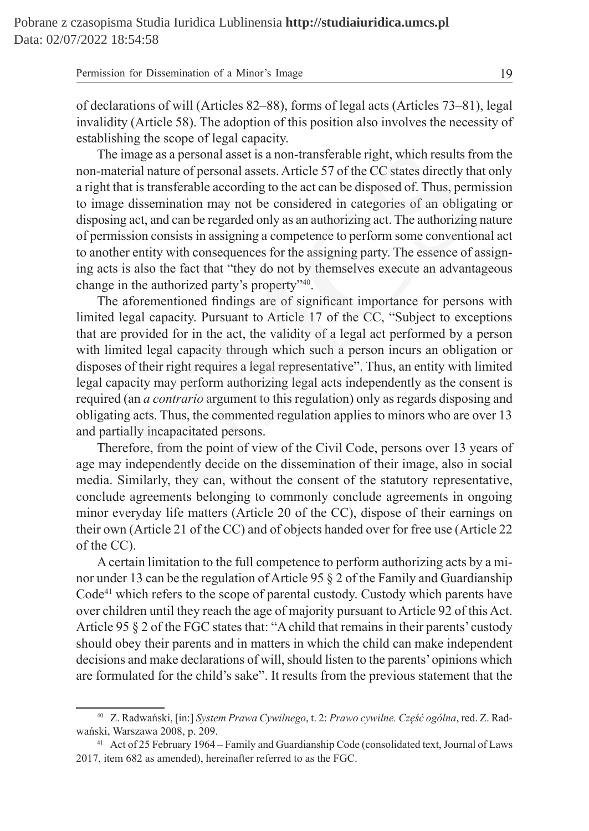| Permission for Dissemination of a Minor's Image |
|-------------------------------------------------|
|-------------------------------------------------|

of declarations of will (Articles 82–88), forms of legal acts (Articles 73–81), legal invalidity (Article 58). The adoption of this position also involves the necessity of establishing the scope of legal capacity.

The image as a personal asset is a non-transferable right, which results from the non-material nature of personal assets. Article 57 of the CC states directly that only a right that is transferable according to the act can be disposed of. Thus, permission to image dissemination may not be considered in categories of an obligating or disposing act, and can be regarded only as an authorizing act. The authorizing nature of permission consists in assigning a competence to perform some conventional act to another entity with consequences for the assigning party. The essence of assigning acts is also the fact that "they do not by themselves execute an advantageous change in the authorized party's property"40.

The aforementioned findings are of significant importance for persons with limited legal capacity. Pursuant to Article 17 of the CC, "Subject to exceptions that are provided for in the act, the validity of a legal act performed by a person with limited legal capacity through which such a person incurs an obligation or disposes of their right requires a legal representative". Thus, an entity with limited legal capacity may perform authorizing legal acts independently as the consent is required (an *a contrario* argument to this regulation) only as regards disposing and obligating acts. Thus, the commented regulation applies to minors who are over 13 and partially incapacitated persons. image as a personal asset is a non-transferable right, which results fr<br>erial nature of personal assets. Article 57 of the CC states directly th<br>at is transferable according to the act can be disposed of. Thus, pern<br>et is

Therefore, from the point of view of the Civil Code, persons over 13 years of age may independently decide on the dissemination of their image, also in social media. Similarly, they can, without the consent of the statutory representative, conclude agreements belonging to commonly conclude agreements in ongoing minor everyday life matters (Article 20 of the CC), dispose of their earnings on their own (Article 21 of the CC) and of objects handed over for free use (Article 22 of the CC).

A certain limitation to the full competence to perform authorizing acts by a minor under 13 can be the regulation of Article 95 § 2 of the Family and Guardianship Code<sup>41</sup> which refers to the scope of parental custody. Custody which parents have over children until they reach the age of majority pursuant to Article 92 of this Act. Article 95 § 2 of the FGC states that: "Achild that remains in their parents' custody should obey their parents and in matters in which the child can make independent decisions and make declarations of will, should listen to the parents' opinions which are formulated for the child's sake". It results from the previous statement that the

<sup>40</sup> Z. Radwański, [in:] *System Prawa Cywilnego*, t. 2: *Prawo cywilne. Część ogólna*, red. Z. Radwański, Warszawa 2008, p. 209.

<sup>41</sup> Act of 25 February 1964 – Family and Guardianship Code (consolidated text, Journal of Laws 2017, item 682 as amended), hereinafter referred to as the FGC.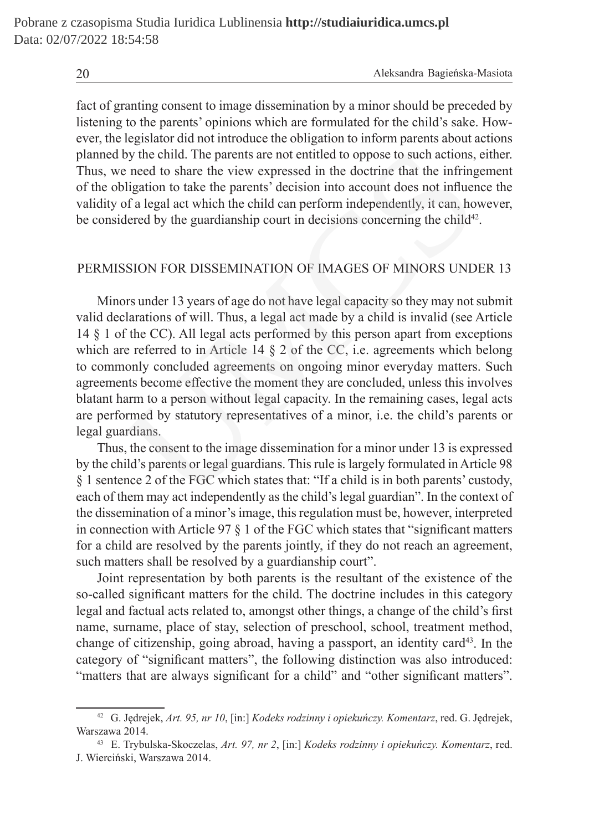fact of granting consent to image dissemination by a minor should be preceded by listening to the parents' opinions which are formulated for the child's sake. However, the legislator did not introduce the obligation to inform parents about actions planned by the child. The parents are not entitled to oppose to such actions, either. Thus, we need to share the view expressed in the doctrine that the infringement of the obligation to take the parents' decision into account does not influence the validity of a legal act which the child can perform independently, it can, however, be considered by the guardianship court in decisions concerning the child<sup>42</sup>.

## PERMISSION FOR DISSEMINATION OF IMAGES OF MINORS UNDER 13

Minors under 13 years of age do not have legal capacity so they may not submit valid declarations of will. Thus, a legal act made by a child is invalid (see Article 14 § 1 of the CC). All legal acts performed by this person apart from exceptions which are referred to in Article 14  $\S$  2 of the CC, i.e. agreements which belong to commonly concluded agreements on ongoing minor everyday matters. Such agreements become effective the moment they are concluded, unless this involves blatant harm to a person without legal capacity. In the remaining cases, legal acts are performed by statutory representatives of a minor, i.e. the child's parents or legal guardians. by the child. The parents are not entitled to oppose to such actions,<br>
e need to share the view expressed in the doctrine that the infring<br>
ligation to take the parents' decision into account does not influer<br>
of a legal a

Thus, the consent to the image dissemination for a minor under 13 is expressed by the child's parents or legal guardians. This rule is largely formulated in Article 98 § 1 sentence 2 of the FGC which states that: "If a child is in both parents' custody, each of them may act independently as the child's legal guardian". In the context of the dissemination of a minor's image, this regulation must be, however, interpreted in connection with Article 97  $\S$  1 of the FGC which states that "significant matters" for a child are resolved by the parents jointly, if they do not reach an agreement, such matters shall be resolved by a guardianship court".

Joint representation by both parents is the resultant of the existence of the so-called significant matters for the child. The doctrine includes in this category legal and factual acts related to, amongst other things, a change of the child's first name, surname, place of stay, selection of preschool, school, treatment method, change of citizenship, going abroad, having a passport, an identity card<sup>43</sup>. In the category of "significant matters", the following distinction was also introduced: "matters that are always significant for a child" and "other significant matters".

<sup>42</sup> G. Jędrejek, *Art. 95, nr 10*, [in:] *Kodeks rodzinny i opiekuńczy. Komentarz*, red. G. Jędrejek, Warszawa 2014.

<sup>43</sup> E. Trybulska-Skoczelas, *Art. 97, nr 2*, [in:] *Kodeks rodzinny i opiekuńczy. Komentarz*, red. J. Wierciński, Warszawa 2014.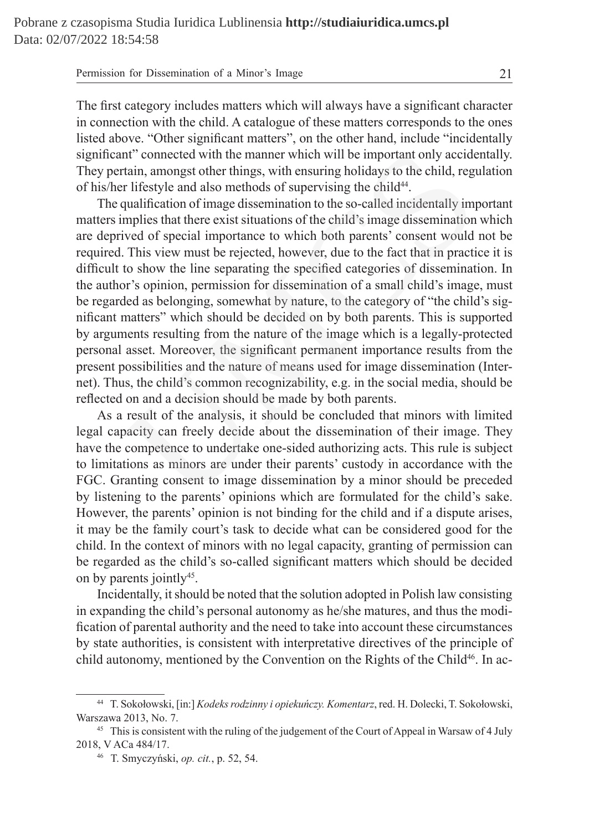| Permission for Dissemination of a Minor's Image |  |
|-------------------------------------------------|--|
|-------------------------------------------------|--|

The first category includes matters which will always have a significant character in connection with the child. A catalogue of these matters corresponds to the ones listed above. "Other significant matters", on the other hand, include "incidentally significant" connected with the manner which will be important only accidentally. They pertain, amongst other things, with ensuring holidays to the child, regulation of his/her lifestyle and also methods of supervising the child<sup>44</sup>.

The qualification of image dissemination to the so-called incidentally important matters implies that there exist situations of the child's image dissemination which are deprived of special importance to which both parents' consent would not be required. This view must be rejected, however, due to the fact that in practice it is difficult to show the line separating the specified categories of dissemination. In the author's opinion, permission for dissemination of a small child's image, must be regarded as belonging, somewhat by nature, to the category of "the child's significant matters" which should be decided on by both parents. This is supported by arguments resulting from the nature of the image which is a legally-protected personal asset. Moreover, the significant permanent importance results from the present possibilities and the nature of means used for image dissemination (Internet). Thus, the child's common recognizability, e.g. in the social media, should be reflected on and a decision should be made by both parents. nt" connected with the manner which will be important only accide<br>tain, amongst other things, with ensuring holidays to the child, regr<br>lifestyle and also methods of supervising the child<sup>44</sup>.<br>qualification of image dissem

As a result of the analysis, it should be concluded that minors with limited legal capacity can freely decide about the dissemination of their image. They have the competence to undertake one-sided authorizing acts. This rule is subject to limitations as minors are under their parents' custody in accordance with the FGC. Granting consent to image dissemination by a minor should be preceded by listening to the parents' opinions which are formulated for the child's sake. However, the parents' opinion is not binding for the child and if a dispute arises, it may be the family court's task to decide what can be considered good for the child. In the context of minors with no legal capacity, granting of permission can be regarded as the child's so-called significant matters which should be decided on by parents jointly<sup>45</sup>.

Incidentally, it should be noted that the solution adopted in Polish law consisting in expanding the child's personal autonomy as he/she matures, and thus the modification of parental authority and the need to take into account these circumstances by state authorities, is consistent with interpretative directives of the principle of child autonomy, mentioned by the Convention on the Rights of the Child<sup>46</sup>. In ac-

<sup>44</sup> T. Sokołowski, [in:] *Kodeks rodzinny i opiekuńczy. Komentarz*, red. H. Dolecki, T. Sokołowski, Warszawa 2013, No. 7.<br><sup>45</sup> This is consistent with the ruling of the judgement of the Court of Appeal in Warsaw of 4 July

<sup>2018,</sup> V ACa 484/17. 46 T. Smyczyński, *op. cit.*, p. 52, 54.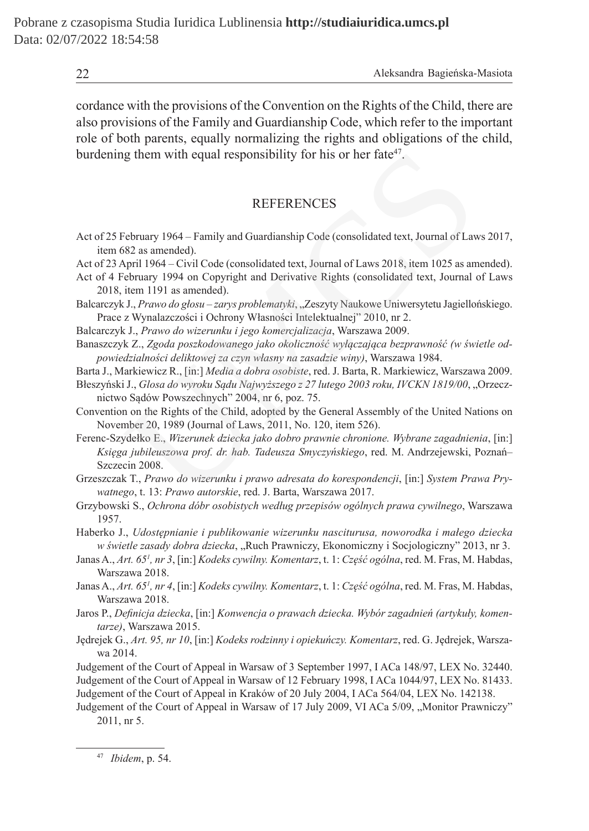cordance with the provisions of the Convention on the Rights of the Child, there are also provisions of the Family and Guardianship Code, which refer to the important role of both parents, equally normalizing the rights and obligations of the child, burdening them with equal responsibility for his or her fate $47$ .

#### **REFERENCES**

- Act of 25 February 1964 Family and Guardianship Code (consolidated text, Journal of Laws 2017, item 682 as amended).
- Act of 23 April 1964 Civil Code (consolidated text, Journal of Laws 2018, item 1025 as amended).
- Act of 4 February 1994 on Copyright and Derivative Rights (consolidated text, Journal of Laws 2018, item 1191 as amended).
- Balcarczyk J., *Prawo do głosu zarys problematyki*, "Zeszyty Naukowe Uniwersytetu Jagiellońskiego. Prace z Wynalazczości i Ochrony Własności Intelektualnej" 2010, nr 2.
- Balcarczyk J., *Prawo do wizerunku i jego komercjalizacja*, Warszawa 2009.
- Banaszczyk Z., *Zgoda poszkodowanego jako okoliczność wyłączająca bezprawność (w świetle odpowiedzialności deliktowej za czyn własny na zasadzie winy)*, Warszawa 1984.
- Barta J., Markiewicz R., [in:] *Media a dobra osobiste*, red. J. Barta, R. Markiewicz, Warszawa 2009.
- Błeszyński J., *Glosa do wyroku Sądu Najwyższego z 27 lutego 2003 roku, IVCKN 1819/00*, "Orzecznictwo Sądów Powszechnych" 2004, nr 6, poz. 75.
- Convention on the Rights of the Child, adopted by the General Assembly of the United Nations on November 20, 1989 (Journal of Laws, 2011, No. 120, item 526).

Ferenc-Szydełko E., *Wizerunek dziecka jako dobro prawnie chronione. Wybrane zagadnienia*, [in:] *Księga jubileuszowa prof. dr. hab. Tadeusza Smyczyńskiego*, red. M. Andrzejewski, Poznań– Szczecin 2008. (g them with equal responsibility for his or her fate<sup>47</sup>.<br>
REFERENCES<br>
February 1964 – Family and Guardianship Code (consolidated text, Journal of Lavs<br>
582 as amended).<br>
Npril 1964 – Civil Code (consolidated text, Journa

- Grzeszczak T., *Prawo do wizerunku i prawo adresata do korespondencji*, [in:] *System Prawa Prywatnego*, t. 13: *Prawo autorskie*, red. J. Barta, Warszawa 2017.
- Grzybowski S., *Ochrona dóbr osobistych według przepisów ogólnych prawa cywilnego*, Warszawa 1957.

Haberko J., *Udostępnianie i publikowanie wizerunku nasciturusa, noworodka i małego dziecka w świetle zasady dobra dziecka*, "Ruch Prawniczy, Ekonomiczny i Socjologiczny" 2013, nr 3.

- Janas A., *Art. 651 , nr 3*, [in:] *Kodeks cywilny. Komentarz*, t. 1: *Część ogólna*, red. M. Fras, M. Habdas, Warszawa 2018.
- Janas A., *Art. 651 , nr 4*, [in:] *Kodeks cywilny. Komentarz*, t. 1: *Część ogólna*, red. M. Fras, M. Habdas, Warszawa 2018.
- Jaros P., *Definicja dziecka*, [in:] *Konwencja o prawach dziecka. Wybór zagadnień (artykuły, komentarze)*, Warszawa 2015.
- Jędrejek G., *Art. 95, nr 10*, [in:] *Kodeks rodzinny i opiekuńczy. Komentarz*, red. G. Jędrejek, Warszawa 2014.

Judgement of the Court of Appeal in Warsaw of 3 September 1997, I ACa 148/97, LEX No. 32440. Judgement of the Court of Appeal in Warsaw of 12 February 1998, I ACa 1044/97, LEX No. 81433. Judgement of the Court of Appeal in Kraków of 20 July 2004, I ACa 564/04, LEX No. 142138.

Judgement of the Court of Appeal in Warsaw of 17 July 2009, VI ACa 5/09, "Monitor Prawniczy" 2011, nr 5.

<sup>47</sup> *Ibidem*, p. 54.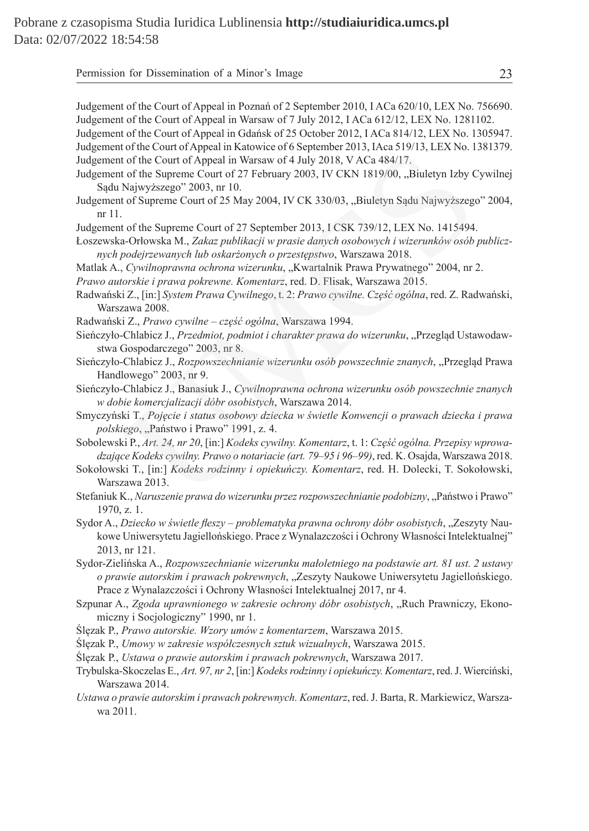Permission for Dissemination of a Minor's Image 23

Judgement of the Court of Appeal in Poznań of 2 September 2010, I ACa 620/10, LEX No. 756690. Judgement of the Court of Appeal in Warsaw of 7 July 2012, I ACa 612/12, LEX No. 1281102. Judgement of the Court of Appeal in Gdańsk of 25 October 2012, I ACa 814/12, LEX No. 1305947. Judgement of the Court of Appeal in Katowice of 6 September 2013, IAca 519/13, LEX No. 1381379. Judgement of the Court of Appeal in Warsaw of 4 July 2018, V ACa 484/17.

- Judgement of the Supreme Court of 27 February 2003, IV CKN 1819/00, "Biuletyn Izby Cywilnej Sądu Najwyższego" 2003, nr 10. Using and Kalendary of Aluly 2018, VACa 484/17.<br>
To the Court of Appeal in Warsaw of 4 July 2018, VACa 484/17.<br>
Let no. 1<br>
of the Court of Appeal in Warsaw of 4 July 2018, VACa 484/17.<br>
Najwyższego" 2003, nr 10.<br>
of Supre
- Judgement of Supreme Court of 25 May 2004, IV CK 330/03, "Biuletyn Sadu Najwyższego" 2004, nr 11.

Judgement of the Supreme Court of 27 September 2013, I CSK 739/12, LEX No. 1415494.

Łoszewska-Orłowska M., *Zakaz publikacji w prasie danych osobowych i wizerunków osób publicznych podejrzewanych lub oskarżonych o przestępstwo*, Warszawa 2018.

Matlak A., *Cywilnoprawna ochrona wizerunku*, "Kwartalnik Prawa Prywatnego" 2004, nr 2.

*Prawo autorskie i prawa pokrewne. Komentarz*, red. D. Flisak, Warszawa 2015.

Radwański Z., [in:] *System Prawa Cywilnego*, t. 2: *Prawo cywilne. Część ogólna*, red. Z. Radwański, Warszawa 2008.

Radwański Z., *Prawo cywilne – część ogólna*, Warszawa 1994.

- Sieńczyło-Chlabicz J., Przedmiot, podmiot i charakter prawa do wizerunku, "Przegląd Ustawodawstwa Gospodarczego" 2003, nr 8.
- Sieńczyło-Chlabicz J., *Rozpowszechnianie wizerunku osób powszechnie znanych*, "Przegląd Prawa Handlowego" 2003, nr 9.

Sieńczyło-Chlabicz J., Banasiuk J., *Cywilnoprawna ochrona wizerunku osób powszechnie znanych w dobie komercjalizacji dóbr osobistych*, Warszawa 2014.

Smyczyński T., *Pojęcie i status osobowy dziecka w świetle Konwencji o prawach dziecka i prawa*  polskiego, "Państwo i Prawo" 1991, z. 4.

- Sobolewski P., *Art. 24, nr 20*, [in:] *Kodeks cywilny. Komentarz*, t. 1: *Część ogólna. Przepisy wprowadzające Kodeks cywilny. Prawo o notariacie (art. 79–95 i 96–99)*, red. K. Osajda, Warszawa 2018.
- Sokołowski T., [in:] *Kodeks rodzinny i opiekuńczy. Komentarz*, red. H. Dolecki, T. Sokołowski, Warszawa 2013.
- Stefaniuk K., *Naruszenie prawa do wizerunku przez rozpowszechnianie podobizny*, "Państwo i Prawo" 1970, z. 1.
- Sydor A., *Dziecko w świetle fleszy problematyka prawna ochrony dóbr osobistych*, "Zeszyty Naukowe Uniwersytetu Jagiellońskiego. Prace z Wynalazczości i Ochrony Własności Intelektualnej" 2013, nr 121.
- Sydor-Zielińska A., *Rozpowszechnianie wizerunku małoletniego na podstawie art. 81 ust. 2 ustawy o prawie autorskim i prawach pokrewnych*, "Zeszyty Naukowe Uniwersytetu Jagiellońskiego. Prace z Wynalazczości i Ochrony Własności Intelektualnej 2017, nr 4.
- Szpunar A., *Zgoda uprawnionego w zakresie ochrony dóbr osobistych*, "Ruch Prawniczy, Ekonomiczny i Socjologiczny" 1990, nr 1.
- Ślęzak P., *Prawo autorskie. Wzory umów z komentarzem*, Warszawa 2015.
- Ślęzak P., *Umowy w zakresie współczesnych sztuk wizualnych*, Warszawa 2015.
- Ślęzak P., *Ustawa o prawie autorskim i prawach pokrewnych*, Warszawa 2017.
- Trybulska-Skoczelas E., *Art. 97, nr 2*, [in:] *Kodeks rodzinny i opiekuńczy. Komentarz*, red. J. Wierciński, Warszawa 2014.
- *Ustawa o prawie autorskim i prawach pokrewnych. Komentarz*, red. J. Barta, R. Markiewicz, Warszawa 2011.